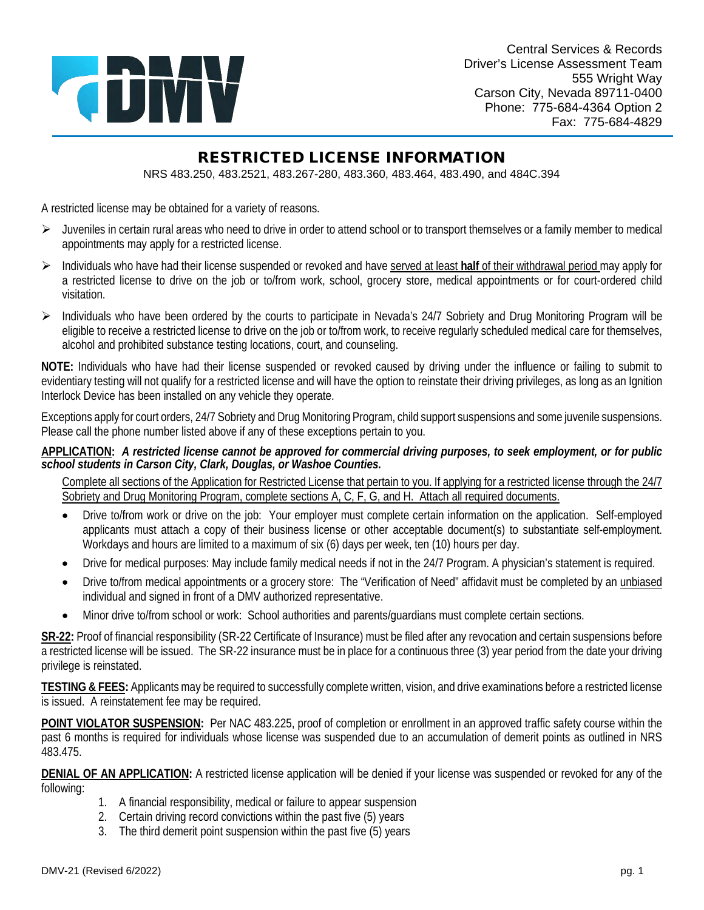

 Phone: 775-684-4364 Option 2 Fax: 775-684-4829 Central Services & Records Driver's License Assessment Team 555 Wright Way Carson City, Nevada 89711-0400

## RESTRICTED LICENSE INFORMATION

NRS 483.250, 483.2521, 483.267-280, 483.360, 483.464, 483.490, and 484C.394

A restricted license may be obtained for a variety of reasons.

- > Juveniles in certain rural areas who need to drive in order to attend school or to transport themselves or a family member to medical appointments may apply for a restricted license.
- > Individuals who have had their license suspended or revoked and have served at least half of their withdrawal period may apply for a restricted license to drive on the job or to/from work, school, grocery store, medical appointments or for court-ordered child visitation.
- eligible to receive a restricted license to drive on the job or to/from work, to receive regularly scheduled medical care for themselves,  $\triangleright$  Individuals who have been ordered by the courts to participate in Nevada's 24/7 Sobriety and Drug Monitoring Program will be alcohol and prohibited substance testing locations, court, and counseling.

 **NOTE:** Individuals who have had their license suspended or revoked caused by driving under the influence or failing to submit to evidentiary testing will not qualify for a restricted license and will have the option to reinstate their driving privileges, as long as an Ignition Interlock Device has been installed on any vehicle they operate.

 Exceptions apply for court orders, 24/7 Sobriety and Drug Monitoring Program, child support suspensions and some juvenile suspensions. Please call the phone number listed above if any of these exceptions pertain to you.

 **APPLICATION:** *A restricted license cannot be approved for commercial driving purposes, to seek employment, or for public school students in Carson City, Clark, Douglas, or Washoe Counties.* 

 Complete all sections of the Application for Restricted License that pertain to you. If applying for a restricted license through the 24/7 Sobriety and Drug Monitoring Program, complete sections A, C, F, G, and H. Attach all required documents.

- • Drive to/from work or drive on the job: Your employer must complete certain information on the application. Self-employed applicants must attach a copy of their business license or other acceptable document(s) to substantiate self-employment.<br>Workdays and hours are limited to a maximum of six (6) days per week, ten (10) hours per day. Workdays and hours are limited to a maximum of six (6) days per week, ten (10) hours per day.
- Drive for medical purposes: May include family medical needs if not in the 24/7 Program. A physician's statement is required.
- Drive to/from medical appointments or a grocery store: The "Verification of Need" affidavit must be completed by an *unbiased* individual and signed in front of a DMV authorized representative.
- Minor drive to/from school or work: School authorities and parents/guardians must complete certain sections.

 **SR-22:** Proof of financial responsibility (SR-22 Certificate of Insurance) must be filed after any revocation and certain suspensions before a restricted license will be issued. The SR-22 insurance must be in place for a continuous three (3) year period from the date your driving privilege is reinstated.

 is issued. A reinstatement fee may be required. **TESTING & FEES:** Applicants may be required to successfully complete written, vision, and drive examinations before a restricted license

 **POINT VIOLATOR SUSPENSION:** Per NAC 483.225, proof of completion or enrollment in an approved traffic safety course within the past 6 months is required for individuals whose license was suspended due to an accumulation of demerit points as outlined in NRS 483.475.

 **DENIAL OF AN APPLICATION:** A restricted license application will be denied if your license was suspended or revoked for any of the following:

- 1. A financial responsibility, medical or failure to appear suspension
- 2. Certain driving record convictions within the past five (5) years
- 3. The third demerit point suspension within the past five (5) years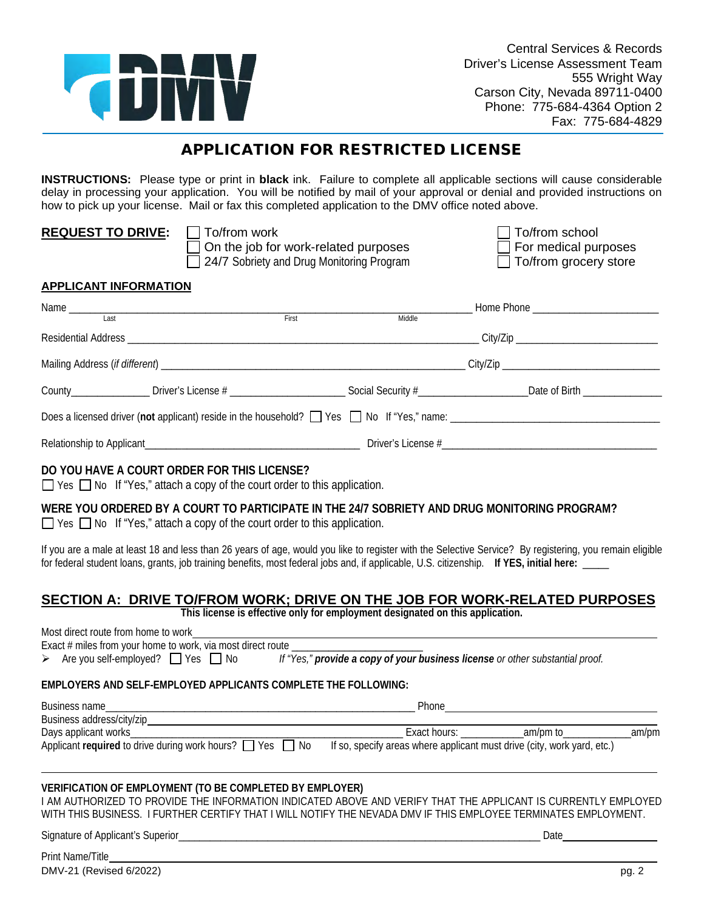

## APPLICATION FOR RESTRICTED LICENSE

 **INSTRUCTIONS:** Please type or print in **black** ink. Failure to complete all applicable sections will cause considerable delay in processing your application. You will be notified by mail of your approval or denial and provided instructions on how to pick up your license. Mail or fax this completed application to the DMV office noted above.

| <b>REQUEST TO DRIVE:</b>     | To/from work<br>On the job for work-related purposes<br>24/7 Sobriety and Drug Monitoring Program |        | To/from school<br>$\Box$ For medical purposes<br>$\Box$ To/from grocery store |  |
|------------------------------|---------------------------------------------------------------------------------------------------|--------|-------------------------------------------------------------------------------|--|
| <b>APPLICANT INFORMATION</b> |                                                                                                   |        |                                                                               |  |
| Last                         | First                                                                                             | Middle |                                                                               |  |
|                              |                                                                                                   |        |                                                                               |  |
|                              |                                                                                                   |        |                                                                               |  |
|                              |                                                                                                   |        |                                                                               |  |
|                              |                                                                                                   |        |                                                                               |  |
|                              |                                                                                                   |        |                                                                               |  |

#### **DO YOU HAVE A COURT ORDER FOR THIS LICENSE?**

 $\Box$  Yes  $\Box$  No If "Yes," attach a copy of the court order to this application.

#### **WERE YOU ORDERED BY A COURT TO PARTICIPATE IN THE 24/7 SOBRIETY AND DRUG MONITORING PROGRAM?**

□ Yes □ No If "Yes," attach a copy of the court order to this application.

 for federal student loans, grants, job training benefits, most federal jobs and, if applicable, U.S. citizenship. **If YES, initial here:** \_\_\_\_\_ If you are a male at least 18 and less than 26 years of age, would you like to register with the Selective Service? By registering, you remain eligible

#### **SECTION A: DRIVE TO/FROM WORK; DRIVE ON THE JOB FOR WORK-RELATED PURPOSES**

**This license is effective only for employment designated on this application.** 

| Most direct route from home to work                                                                                                                                                                                                                                                         |  |  |      |        |
|---------------------------------------------------------------------------------------------------------------------------------------------------------------------------------------------------------------------------------------------------------------------------------------------|--|--|------|--------|
| Exact # miles from your home to work, via most direct route ____________________                                                                                                                                                                                                            |  |  |      |        |
| > Are you self-employed? Yes No If "Yes," provide a copy of your business license or other substantial proof.                                                                                                                                                                               |  |  |      |        |
| EMPLOYERS AND SELF-EMPLOYED APPLICANTS COMPLETE THE FOLLOWING:                                                                                                                                                                                                                              |  |  |      |        |
|                                                                                                                                                                                                                                                                                             |  |  |      |        |
|                                                                                                                                                                                                                                                                                             |  |  |      |        |
|                                                                                                                                                                                                                                                                                             |  |  |      | _am/pm |
|                                                                                                                                                                                                                                                                                             |  |  |      |        |
| VERIFICATION OF EMPLOYMENT (TO BE COMPLETED BY EMPLOYER)<br>AM AUTHORIZED TO PROVIDE THE INFORMATION INDICATED ABOVE AND VERIFY THAT THE APPLICANT IS CURRENTLY EMPLOYED<br>WITH THIS BUSINESS. I FURTHER CERTIFY THAT I WILL NOTIFY THE NEVADA DMV IF THIS EMPLOYEE TERMINATES EMPLOYMENT. |  |  |      |        |
|                                                                                                                                                                                                                                                                                             |  |  | Date |        |
| Print Name/Title <b>Example 2018</b>                                                                                                                                                                                                                                                        |  |  |      |        |
| DMV-21 (Revised 6/2022)                                                                                                                                                                                                                                                                     |  |  |      | pg. 2  |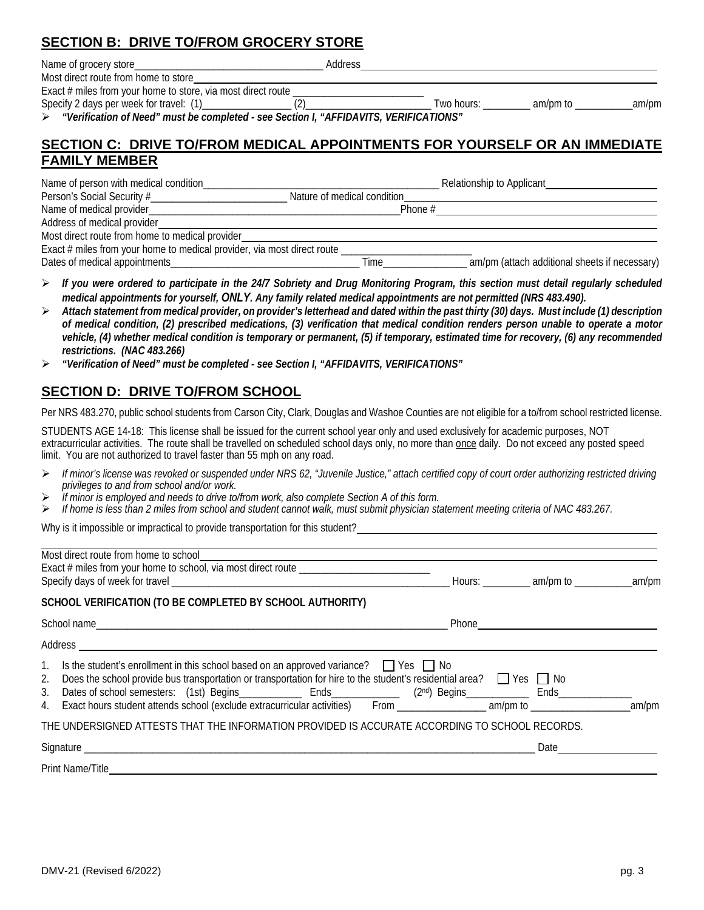#### **SECTION B: DRIVE TO/FROM GROCERY STORE**

| Name of grocery store_                                         | Address                         |
|----------------------------------------------------------------|---------------------------------|
| Most direct route from home to store                           |                                 |
| Exact $#$ miles from your home to store, via most direct route |                                 |
| Specify 2 days per week for travel: (1)                        | Two hours.<br>am/pm to<br>am/pm |

*"Verification of Need" must be completed - see Section I, "AFFIDAVITS, VERIFICATIONS"* 

#### **SECTION C: DRIVE TO/FROM MEDICAL APPOINTMENTS FOR YOURSELF OR AN IMMEDIATE FAMILY MEMBER**

| Name of person with medical condition                                   | Relationship to Applicant                             |
|-------------------------------------------------------------------------|-------------------------------------------------------|
| Person's Social Security #                                              | Nature of medical condition                           |
|                                                                         | Phone #                                               |
| Address of medical provider                                             |                                                       |
| Most direct route from home to medical provider_                        |                                                       |
| Exact # miles from your home to medical provider, via most direct route |                                                       |
|                                                                         | am/pm (attach additional sheets if necessary)<br>Time |

- *If you were ordered to participate in the 24/7 Sobriety and Drug Monitoring Program, this section must detail regularly scheduled medical appointments for yourself, ONLY. Any family related medical appointments are not permitted (NRS 483.490).*
- *Attach statement from medical provider, on provider's letterhead and dated within the past thirty (30) days. Must include (1) description vehicle, (4) whether medical condition is temporary or permanent, (5) if temporary, estimated time for recovery, (6) any recommended of medical condition, (2) prescribed medications, (3) verification that medical condition renders person unable to operate a motor restrictions. (NAC 483.266)*
- *"Verification of Need" must be completed - see Section I, "AFFIDAVITS, VERIFICATIONS"*

#### **SECTION D: DRIVE TO/FROM SCHOOL**

Per NRS 483.270, public school students from Carson City, Clark, Douglas and Washoe Counties are not eligible for a to/from school restricted license.

 STUDENTS AGE 14-18: This license shall be issued for the current school year only and used exclusively for academic purposes, NOT limit. You are not authorized to travel faster than 55 mph on any road. extracurricular activities. The route shall be travelled on scheduled school days only, no more than once daily. Do not exceed any posted speed

- *If minor's license was revoked or suspended under NRS 62, "Juvenile Justice," attach certified copy of court order authorizing restricted driving privileges to and from school and/or work.*
- *If minor is employed and needs to drive to/from work, also complete Section A of this form.*
- *If home is less than 2 miles from school and student cannot walk, must submit physician statement meeting criteria of NAC 483.267.*

Why is it impossible or impractical to provide transportation for this student?

| Exact # miles from your home to school, via most direct route _________________________                                                                                                                                                                                                                                                                   |                                                                                                                 |  |
|-----------------------------------------------------------------------------------------------------------------------------------------------------------------------------------------------------------------------------------------------------------------------------------------------------------------------------------------------------------|-----------------------------------------------------------------------------------------------------------------|--|
| SCHOOL VERIFICATION (TO BE COMPLETED BY SCHOOL AUTHORITY)                                                                                                                                                                                                                                                                                                 |                                                                                                                 |  |
|                                                                                                                                                                                                                                                                                                                                                           |                                                                                                                 |  |
|                                                                                                                                                                                                                                                                                                                                                           |                                                                                                                 |  |
| 1. Is the student's enrollment in this school based on an approved variance? $\Box$ Yes $\Box$ No<br>2. Does the school provide bus transportation or transportation for hire to the student's residential area? T Yes T No<br>Dates of school semesters: (1st) Begins______________ Ends_____________ (2nd) Begins_____________ Ends______________<br>3. |                                                                                                                 |  |
| THE UNDERSIGNED ATTESTS THAT THE INFORMATION PROVIDED IS ACCURATE ACCORDING TO SCHOOL RECORDS.                                                                                                                                                                                                                                                            |                                                                                                                 |  |
|                                                                                                                                                                                                                                                                                                                                                           | Date and the state of the state of the state of the state of the state of the state of the state of the state o |  |
| <b>Print Name/Title</b>                                                                                                                                                                                                                                                                                                                                   |                                                                                                                 |  |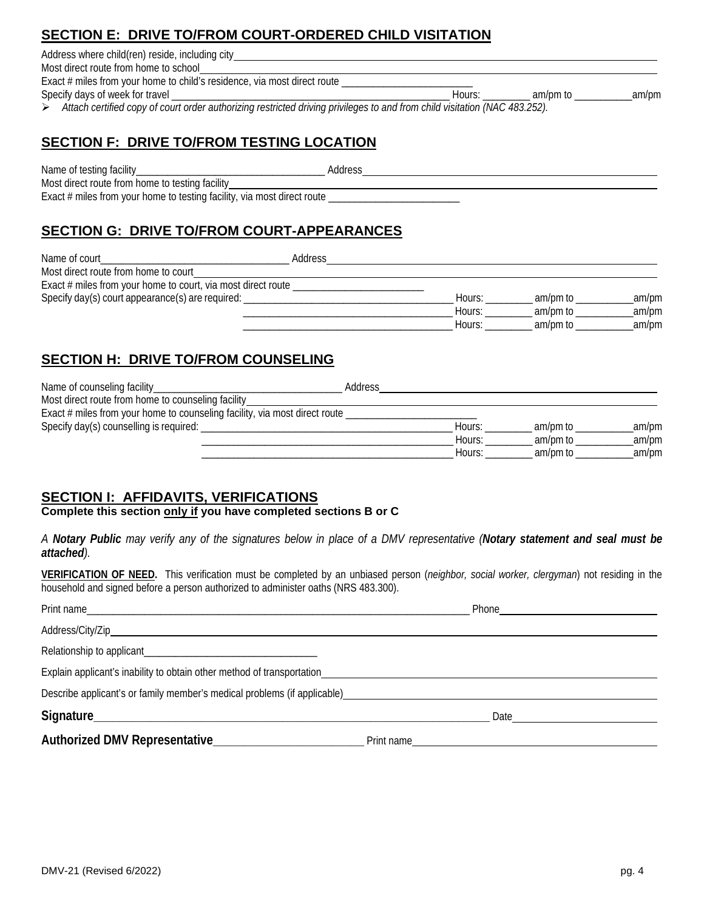## **SECTION E: DRIVE TO/FROM COURT-ORDERED CHILD VISITATION**

Address where child(ren) reside, including city

Most direct route from home to school Exact # miles from your home to child's residence, via most direct route

Specify days of week for travel \_\_\_\_\_\_\_\_\_\_\_\_\_\_\_\_\_\_\_\_\_\_\_\_\_\_\_\_\_\_\_\_\_\_\_\_\_\_\_\_\_\_\_\_\_\_\_\_\_\_\_\_\_ Hours: \_\_\_\_\_\_\_\_\_ am/pm to \_\_\_\_\_\_\_\_\_\_\_am/pm

*Attach certified copy of court order authorizing restricted driving privileges to and from child visitation (NAC 483.252).* 

#### **SECTION F: DRIVE TO/FROM TESTING LOCATION**

Name of testing facility\_\_\_\_\_\_\_\_\_\_\_\_\_\_\_\_\_\_\_\_\_\_\_\_\_\_\_\_\_\_\_\_\_\_\_\_ Address Most direct route from home to testing facility Exact  $#$  miles from your home to testing facility, via most direct route  $\_\_$ 

## **SECTION G: DRIVE TO/FROM COURT-APPEARANCES**

| Name of court                                                | Address |        |          |       |
|--------------------------------------------------------------|---------|--------|----------|-------|
| Most direct route from home to court                         |         |        |          |       |
| Exact # miles from your home to court, via most direct route |         |        |          |       |
| Specify day(s) court appearance(s) are required:             |         | Hours: | am/pm to | am/pm |
|                                                              |         | Hours: | am/pm to | am/pm |
|                                                              |         | Hours: | am/pm to | am/pm |

## **SECTION H: DRIVE TO/FROM COUNSELING**

| Name of counseling facility_                                               | Address |        |          |       |
|----------------------------------------------------------------------------|---------|--------|----------|-------|
| Most direct route from home to counseling facility_                        |         |        |          |       |
| Exact # miles from your home to counseling facility, via most direct route |         |        |          |       |
| Specify day(s) counselling is required:                                    |         | Hours: | am/pm to | am/pm |
|                                                                            |         | Hours: | am/pm to | am/pm |
|                                                                            |         | Hours: | am/pm to | am/pm |

#### **SECTION I: AFFIDAVITS, VERIFICATIONS**

#### Complete this section only if you have completed sections B or C

 *A Notary Public may verify any of the signatures below in place of a DMV representative (Notary statement and seal must be attached).* 

**VERIFICATION OF NEED.** This verification must be completed by an unbiased person (*neighbor, social worker, clergyman*) not residing in the household and signed before a person authorized to administer oaths (NRS 483.300).

|                                                                                                                                                                                                                                | Phone <u>_____________________</u>                                                                                                                                                                                             |
|--------------------------------------------------------------------------------------------------------------------------------------------------------------------------------------------------------------------------------|--------------------------------------------------------------------------------------------------------------------------------------------------------------------------------------------------------------------------------|
|                                                                                                                                                                                                                                |                                                                                                                                                                                                                                |
|                                                                                                                                                                                                                                |                                                                                                                                                                                                                                |
| Explain applicant's inability to obtain other method of transportation_____________________________                                                                                                                            |                                                                                                                                                                                                                                |
| Describe applicant's or family member's medical problems (if applicable) example and the state of the state of the state of the state of the state of the state of the state of the state of the state of the state of the sta |                                                                                                                                                                                                                                |
|                                                                                                                                                                                                                                | Date and the contract of the contract of the contract of the contract of the contract of the contract of the contract of the contract of the contract of the contract of the contract of the contract of the contract of the c |
|                                                                                                                                                                                                                                | Print name contact and the contract of the contract of the contract of the contract of the contract of the contract of the contract of the contract of the contract of the contract of the contract of the contract of the con |